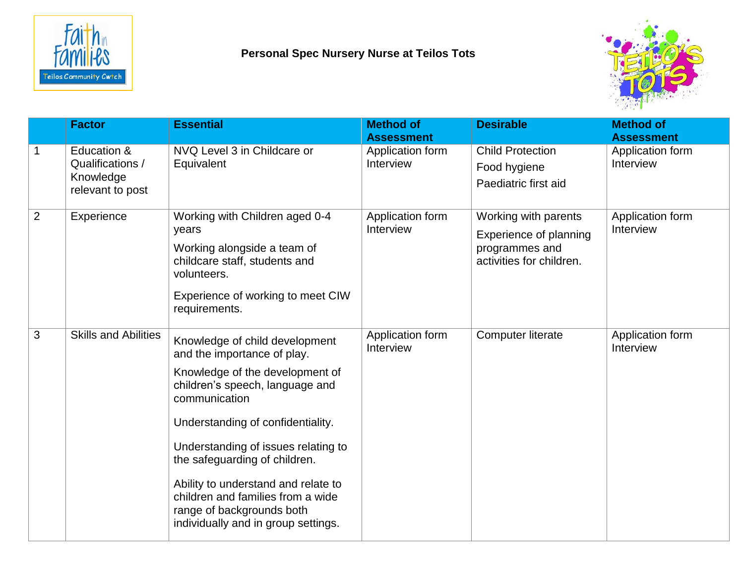

## **Personal Spec Nursery Nurse at Teilos Tots**



|                | <b>Factor</b>                                                    | <b>Essential</b>                                                                                                                                                                                                                                                                                                                                                                                                  | <b>Method of</b><br><b>Assessment</b> | <b>Desirable</b>                                                                             | <b>Method of</b><br><b>Assessment</b> |
|----------------|------------------------------------------------------------------|-------------------------------------------------------------------------------------------------------------------------------------------------------------------------------------------------------------------------------------------------------------------------------------------------------------------------------------------------------------------------------------------------------------------|---------------------------------------|----------------------------------------------------------------------------------------------|---------------------------------------|
|                | Education &<br>Qualifications /<br>Knowledge<br>relevant to post | NVQ Level 3 in Childcare or<br>Equivalent                                                                                                                                                                                                                                                                                                                                                                         | Application form<br>Interview         | <b>Child Protection</b><br>Food hygiene<br>Paediatric first aid                              | Application form<br>Interview         |
| $\overline{2}$ | Experience                                                       | Working with Children aged 0-4<br>years<br>Working alongside a team of<br>childcare staff, students and<br>volunteers.<br>Experience of working to meet CIW<br>requirements.                                                                                                                                                                                                                                      | Application form<br>Interview         | Working with parents<br>Experience of planning<br>programmes and<br>activities for children. | Application form<br>Interview         |
| 3              | <b>Skills and Abilities</b>                                      | Knowledge of child development<br>and the importance of play.<br>Knowledge of the development of<br>children's speech, language and<br>communication<br>Understanding of confidentiality.<br>Understanding of issues relating to<br>the safeguarding of children.<br>Ability to understand and relate to<br>children and families from a wide<br>range of backgrounds both<br>individually and in group settings. | Application form<br>Interview         | <b>Computer literate</b>                                                                     | Application form<br>Interview         |